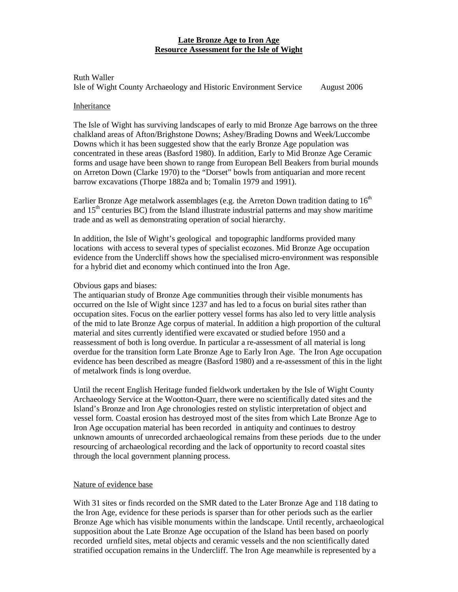# **Late Bronze Age to Iron Age Resource Assessment for the Isle of Wight**

Ruth Waller Isle of Wight County Archaeology and Historic Environment Service August 2006

### Inheritance

The Isle of Wight has surviving landscapes of early to mid Bronze Age barrows on the three chalkland areas of Afton/Brighstone Downs; Ashey/Brading Downs and Week/Luccombe Downs which it has been suggested show that the early Bronze Age population was concentrated in these areas (Basford 1980). In addition, Early to Mid Bronze Age Ceramic forms and usage have been shown to range from European Bell Beakers from burial mounds on Arreton Down (Clarke 1970) to the "Dorset" bowls from antiquarian and more recent barrow excavations (Thorpe 1882a and b; Tomalin 1979 and 1991).

Earlier Bronze Age metalwork assemblages (e.g. the Arreton Down tradition dating to  $16<sup>th</sup>$ and  $15<sup>th</sup>$  centuries BC) from the Island illustrate industrial patterns and may show maritime trade and as well as demonstrating operation of social hierarchy.

In addition, the Isle of Wight's geological and topographic landforms provided many locations with access to several types of specialist ecozones. Mid Bronze Age occupation evidence from the Undercliff shows how the specialised micro-environment was responsible for a hybrid diet and economy which continued into the Iron Age.

# Obvious gaps and biases:

The antiquarian study of Bronze Age communities through their visible monuments has occurred on the Isle of Wight since 1237 and has led to a focus on burial sites rather than occupation sites. Focus on the earlier pottery vessel forms has also led to very little analysis of the mid to late Bronze Age corpus of material. In addition a high proportion of the cultural material and sites currently identified were excavated or studied before 1950 and a reassessment of both is long overdue. In particular a re-assessment of all material is long overdue for the transition form Late Bronze Age to Early Iron Age. The Iron Age occupation evidence has been described as meagre (Basford 1980) and a re-assessment of this in the light of metalwork finds is long overdue.

Until the recent English Heritage funded fieldwork undertaken by the Isle of Wight County Archaeology Service at the Wootton-Quarr, there were no scientifically dated sites and the Island's Bronze and Iron Age chronologies rested on stylistic interpretation of object and vessel form. Coastal erosion has destroyed most of the sites from which Late Bronze Age to Iron Age occupation material has been recorded in antiquity and continues to destroy unknown amounts of unrecorded archaeological remains from these periods due to the under resourcing of archaeological recording and the lack of opportunity to record coastal sites through the local government planning process.

### Nature of evidence base

With 31 sites or finds recorded on the SMR dated to the Later Bronze Age and 118 dating to the Iron Age, evidence for these periods is sparser than for other periods such as the earlier Bronze Age which has visible monuments within the landscape. Until recently, archaeological supposition about the Late Bronze Age occupation of the Island has been based on poorly recorded urnfield sites, metal objects and ceramic vessels and the non scientifically dated stratified occupation remains in the Undercliff. The Iron Age meanwhile is represented by a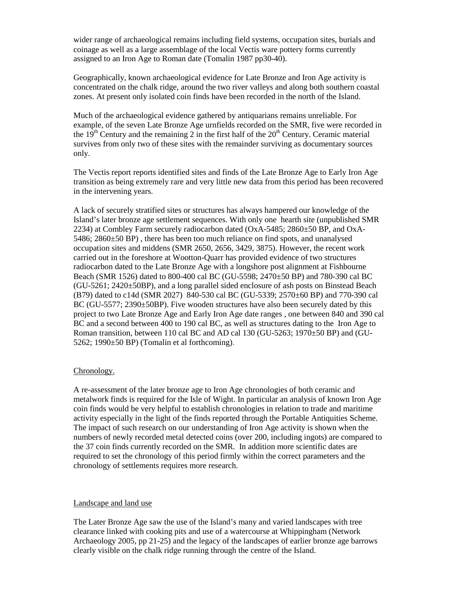wider range of archaeological remains including field systems, occupation sites, burials and coinage as well as a large assemblage of the local Vectis ware pottery forms currently assigned to an Iron Age to Roman date (Tomalin 1987 pp30-40).

Geographically, known archaeological evidence for Late Bronze and Iron Age activity is concentrated on the chalk ridge, around the two river valleys and along both southern coastal zones. At present only isolated coin finds have been recorded in the north of the Island.

Much of the archaeological evidence gathered by antiquarians remains unreliable. For example, of the seven Late Bronze Age urnfields recorded on the SMR, five were recorded in the  $19<sup>th</sup>$  Century and the remaining 2 in the first half of the  $20<sup>th</sup>$  Century. Ceramic material survives from only two of these sites with the remainder surviving as documentary sources only.

The Vectis report reports identified sites and finds of the Late Bronze Age to Early Iron Age transition as being extremely rare and very little new data from this period has been recovered in the intervening years.

A lack of securely stratified sites or structures has always hampered our knowledge of the Island's later bronze age settlement sequences. With only one hearth site (unpublished SMR 2234) at Combley Farm securely radiocarbon dated (OxA-5485; 2860±50 BP, and OxA-5486; 2860±50 BP) , there has been too much reliance on find spots, and unanalysed occupation sites and middens (SMR 2650, 2656, 3429, 3875). However, the recent work carried out in the foreshore at Wootton-Quarr has provided evidence of two structures radiocarbon dated to the Late Bronze Age with a longshore post alignment at Fishbourne Beach (SMR 1526) dated to 800-400 cal BC (GU-5598; 2470±50 BP) and 780-390 cal BC  $(GU-5261; 2420\pm 50BP)$ , and a long parallel sided enclosure of ash posts on Binstead Beach (B79) dated to c14d (SMR 2027) 840-530 cal BC (GU-5339; 2570±60 BP) and 770-390 cal BC (GU-5577; 2390±50BP). Five wooden structures have also been securely dated by this project to two Late Bronze Age and Early Iron Age date ranges , one between 840 and 390 cal BC and a second between 400 to 190 cal BC, as well as structures dating to the Iron Age to Roman transition, between 110 cal BC and AD cal 130 (GU-5263; 1970±50 BP) and (GU-5262; 1990±50 BP) (Tomalin et al forthcoming).

### Chronology.

A re-assessment of the later bronze age to Iron Age chronologies of both ceramic and metalwork finds is required for the Isle of Wight. In particular an analysis of known Iron Age coin finds would be very helpful to establish chronologies in relation to trade and maritime activity especially in the light of the finds reported through the Portable Antiquities Scheme. The impact of such research on our understanding of Iron Age activity is shown when the numbers of newly recorded metal detected coins (over 200, including ingots) are compared to the 37 coin finds currently recorded on the SMR. In addition more scientific dates are required to set the chronology of this period firmly within the correct parameters and the chronology of settlements requires more research.

### Landscape and land use

The Later Bronze Age saw the use of the Island's many and varied landscapes with tree clearance linked with cooking pits and use of a watercourse at Whippingham (Network Archaeology 2005, pp 21-25) and the legacy of the landscapes of earlier bronze age barrows clearly visible on the chalk ridge running through the centre of the Island.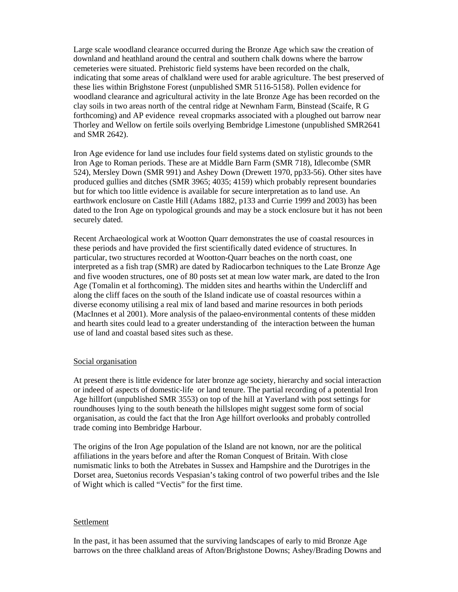Large scale woodland clearance occurred during the Bronze Age which saw the creation of downland and heathland around the central and southern chalk downs where the barrow cemeteries were situated. Prehistoric field systems have been recorded on the chalk, indicating that some areas of chalkland were used for arable agriculture. The best preserved of these lies within Brighstone Forest (unpublished SMR 5116-5158). Pollen evidence for woodland clearance and agricultural activity in the late Bronze Age has been recorded on the clay soils in two areas north of the central ridge at Newnham Farm, Binstead (Scaife, R G forthcoming) and AP evidence reveal cropmarks associated with a ploughed out barrow near Thorley and Wellow on fertile soils overlying Bembridge Limestone (unpublished SMR2641 and SMR 2642).

Iron Age evidence for land use includes four field systems dated on stylistic grounds to the Iron Age to Roman periods. These are at Middle Barn Farm (SMR 718), Idlecombe (SMR 524), Mersley Down (SMR 991) and Ashey Down (Drewett 1970, pp33-56). Other sites have produced gullies and ditches (SMR 3965; 4035; 4159) which probably represent boundaries but for which too little evidence is available for secure interpretation as to land use. An earthwork enclosure on Castle Hill (Adams 1882, p133 and Currie 1999 and 2003) has been dated to the Iron Age on typological grounds and may be a stock enclosure but it has not been securely dated.

Recent Archaeological work at Wootton Quarr demonstrates the use of coastal resources in these periods and have provided the first scientifically dated evidence of structures. In particular, two structures recorded at Wootton-Quarr beaches on the north coast, one interpreted as a fish trap (SMR) are dated by Radiocarbon techniques to the Late Bronze Age and five wooden structures, one of 80 posts set at mean low water mark, are dated to the Iron Age (Tomalin et al forthcoming). The midden sites and hearths within the Undercliff and along the cliff faces on the south of the Island indicate use of coastal resources within a diverse economy utilising a real mix of land based and marine resources in both periods (MacInnes et al 2001). More analysis of the palaeo-environmental contents of these midden and hearth sites could lead to a greater understanding of the interaction between the human use of land and coastal based sites such as these.

### Social organisation

At present there is little evidence for later bronze age society, hierarchy and social interaction or indeed of aspects of domestic-life or land tenure. The partial recording of a potential Iron Age hillfort (unpublished SMR 3553) on top of the hill at Yaverland with post settings for roundhouses lying to the south beneath the hillslopes might suggest some form of social organisation, as could the fact that the Iron Age hillfort overlooks and probably controlled trade coming into Bembridge Harbour.

The origins of the Iron Age population of the Island are not known, nor are the political affiliations in the years before and after the Roman Conquest of Britain. With close numismatic links to both the Atrebates in Sussex and Hampshire and the Durotriges in the Dorset area, Suetonius records Vespasian's taking control of two powerful tribes and the Isle of Wight which is called "Vectis" for the first time.

# Settlement

In the past, it has been assumed that the surviving landscapes of early to mid Bronze Age barrows on the three chalkland areas of Afton/Brighstone Downs; Ashey/Brading Downs and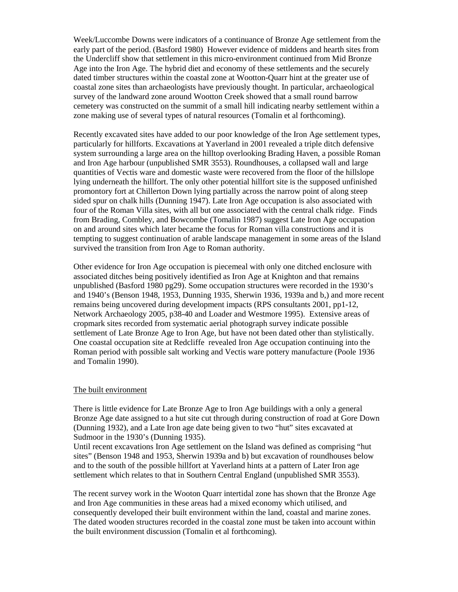Week/Luccombe Downs were indicators of a continuance of Bronze Age settlement from the early part of the period. (Basford 1980) However evidence of middens and hearth sites from the Undercliff show that settlement in this micro-environment continued from Mid Bronze Age into the Iron Age. The hybrid diet and economy of these settlements and the securely dated timber structures within the coastal zone at Wootton-Quarr hint at the greater use of coastal zone sites than archaeologists have previously thought. In particular, archaeological survey of the landward zone around Wootton Creek showed that a small round barrow cemetery was constructed on the summit of a small hill indicating nearby settlement within a zone making use of several types of natural resources (Tomalin et al forthcoming).

Recently excavated sites have added to our poor knowledge of the Iron Age settlement types, particularly for hillforts. Excavations at Yaverland in 2001 revealed a triple ditch defensive system surrounding a large area on the hilltop overlooking Brading Haven, a possible Roman and Iron Age harbour (unpublished SMR 3553). Roundhouses, a collapsed wall and large quantities of Vectis ware and domestic waste were recovered from the floor of the hillslope lying underneath the hillfort. The only other potential hillfort site is the supposed unfinished promontory fort at Chillerton Down lying partially across the narrow point of along steep sided spur on chalk hills (Dunning 1947). Late Iron Age occupation is also associated with four of the Roman Villa sites, with all but one associated with the central chalk ridge. Finds from Brading, Combley, and Bowcombe (Tomalin 1987) suggest Late Iron Age occupation on and around sites which later became the focus for Roman villa constructions and it is tempting to suggest continuation of arable landscape management in some areas of the Island survived the transition from Iron Age to Roman authority.

Other evidence for Iron Age occupation is piecemeal with only one ditched enclosure with associated ditches being positively identified as Iron Age at Knighton and that remains unpublished (Basford 1980 pg29). Some occupation structures were recorded in the 1930's and 1940's (Benson 1948, 1953, Dunning 1935, Sherwin 1936, 1939a and b,) and more recent remains being uncovered during development impacts (RPS consultants 2001, pp1-12, Network Archaeology 2005, p38-40 and Loader and Westmore 1995). Extensive areas of cropmark sites recorded from systematic aerial photograph survey indicate possible settlement of Late Bronze Age to Iron Age, but have not been dated other than stylistically. One coastal occupation site at Redcliffe revealed Iron Age occupation continuing into the Roman period with possible salt working and Vectis ware pottery manufacture (Poole 1936 and Tomalin 1990).

#### The built environment

There is little evidence for Late Bronze Age to Iron Age buildings with a only a general Bronze Age date assigned to a hut site cut through during construction of road at Gore Down (Dunning 1932), and a Late Iron age date being given to two "hut" sites excavated at Sudmoor in the 1930's (Dunning 1935).

Until recent excavations Iron Age settlement on the Island was defined as comprising "hut sites" (Benson 1948 and 1953, Sherwin 1939a and b) but excavation of roundhouses below and to the south of the possible hillfort at Yaverland hints at a pattern of Later Iron age settlement which relates to that in Southern Central England (unpublished SMR 3553).

The recent survey work in the Wooton Quarr intertidal zone has shown that the Bronze Age and Iron Age communities in these areas had a mixed economy which utilised, and consequently developed their built environment within the land, coastal and marine zones. The dated wooden structures recorded in the coastal zone must be taken into account within the built environment discussion (Tomalin et al forthcoming).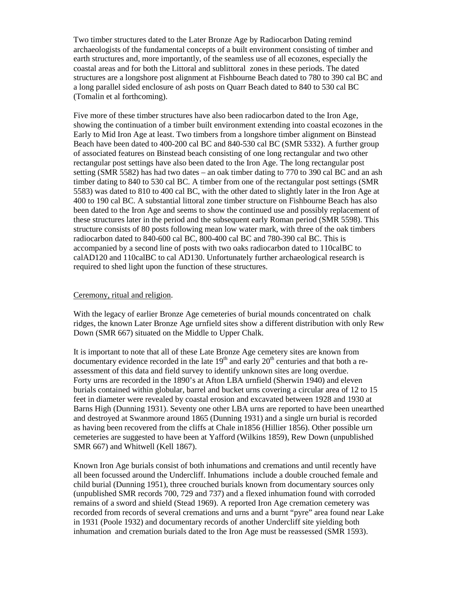Two timber structures dated to the Later Bronze Age by Radiocarbon Dating remind archaeologists of the fundamental concepts of a built environment consisting of timber and earth structures and, more importantly, of the seamless use of all ecozones, especially the coastal areas and for both the Littoral and sublittoral zones in these periods. The dated structures are a longshore post alignment at Fishbourne Beach dated to 780 to 390 cal BC and a long parallel sided enclosure of ash posts on Quarr Beach dated to 840 to 530 cal BC (Tomalin et al forthcoming).

Five more of these timber structures have also been radiocarbon dated to the Iron Age, showing the continuation of a timber built environment extending into coastal ecozones in the Early to Mid Iron Age at least. Two timbers from a longshore timber alignment on Binstead Beach have been dated to 400-200 cal BC and 840-530 cal BC (SMR 5332). A further group of associated features on Binstead beach consisting of one long rectangular and two other rectangular post settings have also been dated to the Iron Age. The long rectangular post setting (SMR 5582) has had two dates – an oak timber dating to 770 to 390 cal BC and an ash timber dating to 840 to 530 cal BC. A timber from one of the rectangular post settings (SMR 5583) was dated to 810 to 400 cal BC, with the other dated to slightly later in the Iron Age at 400 to 190 cal BC. A substantial littoral zone timber structure on Fishbourne Beach has also been dated to the Iron Age and seems to show the continued use and possibly replacement of these structures later in the period and the subsequent early Roman period (SMR 5598). This structure consists of 80 posts following mean low water mark, with three of the oak timbers radiocarbon dated to 840-600 cal BC, 800-400 cal BC and 780-390 cal BC. This is accompanied by a second line of posts with two oaks radiocarbon dated to 110calBC to calAD120 and 110calBC to cal AD130. Unfortunately further archaeological research is required to shed light upon the function of these structures.

## Ceremony, ritual and religion.

With the legacy of earlier Bronze Age cemeteries of burial mounds concentrated on chalk ridges, the known Later Bronze Age urnfield sites show a different distribution with only Rew Down (SMR 667) situated on the Middle to Upper Chalk.

It is important to note that all of these Late Bronze Age cemetery sites are known from documentary evidence recorded in the late  $19<sup>th</sup>$  and early  $20<sup>th</sup>$  centuries and that both a reassessment of this data and field survey to identify unknown sites are long overdue. Forty urns are recorded in the 1890's at Afton LBA urnfield (Sherwin 1940) and eleven burials contained within globular, barrel and bucket urns covering a circular area of 12 to 15 feet in diameter were revealed by coastal erosion and excavated between 1928 and 1930 at Barns High (Dunning 1931). Seventy one other LBA urns are reported to have been unearthed and destroyed at Swanmore around 1865 (Dunning 1931) and a single urn burial is recorded as having been recovered from the cliffs at Chale in1856 (Hillier 1856). Other possible urn cemeteries are suggested to have been at Yafford (Wilkins 1859), Rew Down (unpublished SMR 667) and Whitwell (Kell 1867).

Known Iron Age burials consist of both inhumations and cremations and until recently have all been focussed around the Undercliff. Inhumations include a double crouched female and child burial (Dunning 1951), three crouched burials known from documentary sources only (unpublished SMR records 700, 729 and 737) and a flexed inhumation found with corroded remains of a sword and shield (Stead 1969). A reported Iron Age cremation cemetery was recorded from records of several cremations and urns and a burnt "pyre" area found near Lake in 1931 (Poole 1932) and documentary records of another Undercliff site yielding both inhumation and cremation burials dated to the Iron Age must be reassessed (SMR 1593).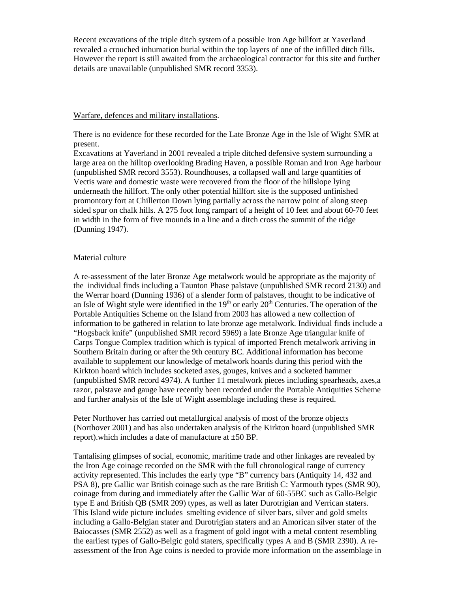Recent excavations of the triple ditch system of a possible Iron Age hillfort at Yaverland revealed a crouched inhumation burial within the top layers of one of the infilled ditch fills. However the report is still awaited from the archaeological contractor for this site and further details are unavailable (unpublished SMR record 3353).

## Warfare, defences and military installations.

There is no evidence for these recorded for the Late Bronze Age in the Isle of Wight SMR at present.

Excavations at Yaverland in 2001 revealed a triple ditched defensive system surrounding a large area on the hilltop overlooking Brading Haven, a possible Roman and Iron Age harbour (unpublished SMR record 3553). Roundhouses, a collapsed wall and large quantities of Vectis ware and domestic waste were recovered from the floor of the hillslope lying underneath the hillfort. The only other potential hillfort site is the supposed unfinished promontory fort at Chillerton Down lying partially across the narrow point of along steep sided spur on chalk hills. A 275 foot long rampart of a height of 10 feet and about 60-70 feet in width in the form of five mounds in a line and a ditch cross the summit of the ridge (Dunning 1947).

# Material culture

A re-assessment of the later Bronze Age metalwork would be appropriate as the majority of the individual finds including a Taunton Phase palstave (unpublished SMR record 2130) and the Werrar hoard (Dunning 1936) of a slender form of palstaves, thought to be indicative of an Isle of Wight style were identified in the  $19<sup>th</sup>$  or early  $20<sup>th</sup>$  Centuries. The operation of the Portable Antiquities Scheme on the Island from 2003 has allowed a new collection of information to be gathered in relation to late bronze age metalwork. Individual finds include a "Hogsback knife" (unpublished SMR record 5969) a late Bronze Age triangular knife of Carps Tongue Complex tradition which is typical of imported French metalwork arriving in Southern Britain during or after the 9th century BC. Additional information has become available to supplement our knowledge of metalwork hoards during this period with the Kirkton hoard which includes socketed axes, gouges, knives and a socketed hammer (unpublished SMR record 4974). A further 11 metalwork pieces including spearheads, axes,a razor, palstave and gauge have recently been recorded under the Portable Antiquities Scheme and further analysis of the Isle of Wight assemblage including these is required.

Peter Northover has carried out metallurgical analysis of most of the bronze objects (Northover 2001) and has also undertaken analysis of the Kirkton hoard (unpublished SMR report).which includes a date of manufacture at  $\pm 50$  BP.

Tantalising glimpses of social, economic, maritime trade and other linkages are revealed by the Iron Age coinage recorded on the SMR with the full chronological range of currency activity represented. This includes the early type "B" currency bars (Antiquity 14, 432 and PSA 8), pre Gallic war British coinage such as the rare British C: Yarmouth types (SMR 90), coinage from during and immediately after the Gallic War of 60-55BC such as Gallo-Belgic type E and British QB (SMR 209) types, as well as later Durotrigian and Verrican staters. This Island wide picture includes smelting evidence of silver bars, silver and gold smelts including a Gallo-Belgian stater and Durotrigian staters and an Amorican silver stater of the Baiocasses (SMR 2552) as well as a fragment of gold ingot with a metal content resembling the earliest types of Gallo-Belgic gold staters, specifically types A and B (SMR 2390). A reassessment of the Iron Age coins is needed to provide more information on the assemblage in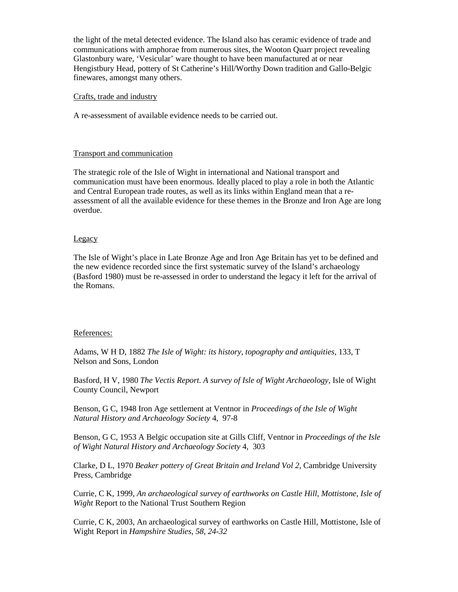the light of the metal detected evidence. The Island also has ceramic evidence of trade and communications with amphorae from numerous sites, the Wooton Quarr project revealing Glastonbury ware, 'Vesicular' ware thought to have been manufactured at or near Hengistbury Head, pottery of St Catherine's Hill/Worthy Down tradition and Gallo-Belgic finewares, amongst many others.

## Crafts, trade and industry

A re-assessment of available evidence needs to be carried out.

# Transport and communication

The strategic role of the Isle of Wight in international and National transport and communication must have been enormous. Ideally placed to play a role in both the Atlantic and Central European trade routes, as well as its links within England mean that a reassessment of all the available evidence for these themes in the Bronze and Iron Age are long overdue.

# **Legacy**

The Isle of Wight's place in Late Bronze Age and Iron Age Britain has yet to be defined and the new evidence recorded since the first systematic survey of the Island's archaeology (Basford 1980) must be re-assessed in order to understand the legacy it left for the arrival of the Romans.

### References:

Adams, W H D, 1882 *The Isle of Wight: its history, topography and antiquities*, 133, T Nelson and Sons, London

Basford, H V, 1980 *The Vectis Report. A survey of Isle of Wight Archaeology,* Isle of Wight County Council, Newport

Benson, G C, 1948 Iron Age settlement at Ventnor in *Proceedings of the Isle of Wight Natural History and Archaeology Society* 4, 97-8

Benson, G C, 1953 A Belgic occupation site at Gills Cliff, Ventnor in *Proceedings of the Isle of Wight Natural History and Archaeology Society* 4, 303

Clarke, D L, 1970 *Beaker pottery of Great Britain and Ireland Vol 2,* Cambridge University Press, Cambridge

Currie, C K, 1999, *An archaeological survey of earthworks on Castle Hill, Mottistone, Isle of Wight* Report to the National Trust Southern Region

Currie, C K, 2003, An archaeological survey of earthworks on Castle Hill, Mottistone, Isle of Wight Report in *Hampshire Studies, 58, 24-32*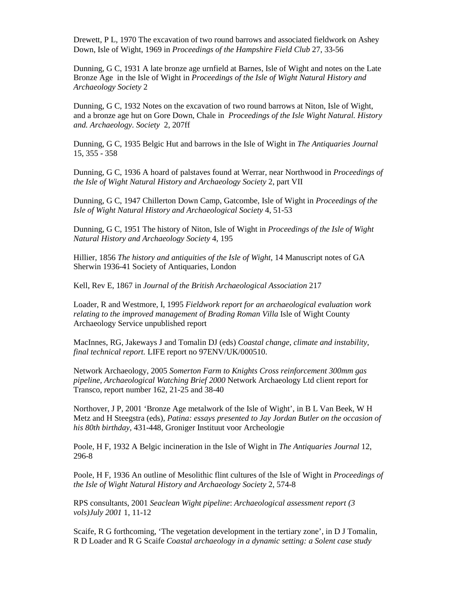Drewett, P L, 1970 The excavation of two round barrows and associated fieldwork on Ashey Down, Isle of Wight, 1969 in *Proceedings of the Hampshire Field Club* 27, 33-56

Dunning, G C, 1931 A late bronze age urnfield at Barnes, Isle of Wight and notes on the Late Bronze Age in the Isle of Wight in *Proceedings of the Isle of Wight Natural History and Archaeology Society* 2

Dunning, G C, 1932 Notes on the excavation of two round barrows at Niton, Isle of Wight, and a bronze age hut on Gore Down, Chale in *Proceedings of the Isle Wight Natural. History and. Archaeology. Society* 2, 207ff

Dunning, G C, 1935 Belgic Hut and barrows in the Isle of Wight in *The Antiquaries Journal* 15, 355 - 358

Dunning, G C, 1936 A hoard of palstaves found at Werrar, near Northwood in *Proceedings of the Isle of Wight Natural History and Archaeology Society* 2, part VII

Dunning, G C, 1947 Chillerton Down Camp, Gatcombe, Isle of Wight in *Proceedings of the Isle of Wight Natural History and Archaeological Society* 4, 51-53

Dunning, G C, 1951 The history of Niton, Isle of Wight in *Proceedings of the Isle of Wight Natural History and Archaeology Society* 4, 195

Hillier, 1856 *The history and antiquities of the Isle of Wight,* 14 Manuscript notes of GA Sherwin 1936-41 Society of Antiquaries, London

Kell, Rev E, 1867 in *Journal of the British Archaeological Association* 217

Loader, R and Westmore, I, 1995 *Fieldwork report for an archaeological evaluation work relating to the improved management of Brading Roman Villa Isle of Wight County* Archaeology Service unpublished report

MacInnes, RG, Jakeways J and Tomalin DJ (eds) *Coastal change, climate and instability, final technical report.* LIFE report no 97ENV/UK/000510.

Network Archaeology, 2005 *Somerton Farm to Knights Cross reinforcement 300mm gas pipeline, Archaeological Watching Brief 2000* Network Archaeology Ltd client report for Transco, report number 162, 21-25 and 38-40

Northover, J P, 2001 'Bronze Age metalwork of the Isle of Wight', in B L Van Beek, W H Metz and H Steegstra (eds), *Patina: essays presented to Jay Jordan Butler on the occasion of his 80th birthday,* 431-448, Groniger Instituut voor Archeologie

Poole, H F, 1932 A Belgic incineration in the Isle of Wight in *The Antiquaries Journal* 12, 296-8

Poole, H F, 1936 An outline of Mesolithic flint cultures of the Isle of Wight in *Proceedings of the Isle of Wight Natural History and Archaeology Society* 2, 574-8

RPS consultants, 2001 *Seaclean Wight pipeline*: *Archaeological assessment report (3 vols)July 2001* 1, 11-12

Scaife, R G forthcoming, 'The vegetation development in the tertiary zone', in D J Tomalin, R D Loader and R G Scaife *Coastal archaeology in a dynamic setting: a Solent case study*